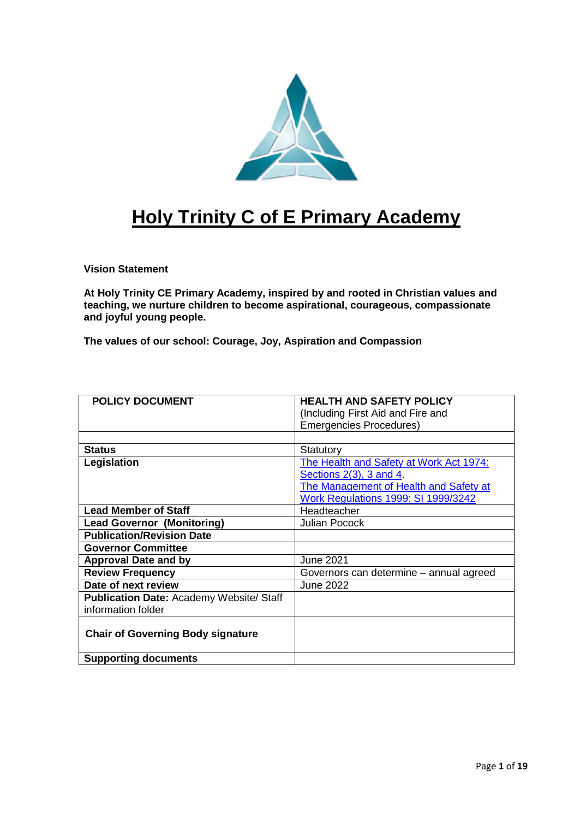

# **Holy Trinity C of E Primary Academy**

**Vision Statement**

**At Holy Trinity CE Primary Academy, inspired by and rooted in Christian values and teaching, we nurture children to become aspirational, courageous, compassionate and joyful young people.**

**The values of our school: Courage, Joy, Aspiration and Compassion**

| <b>POLICY DOCUMENT</b>                          | <b>HEALTH AND SAFETY POLICY</b>            |
|-------------------------------------------------|--------------------------------------------|
|                                                 | (Including First Aid and Fire and          |
|                                                 | <b>Emergencies Procedures)</b>             |
|                                                 |                                            |
| <b>Status</b>                                   | Statutory                                  |
| Legislation                                     | The Health and Safety at Work Act 1974:    |
|                                                 | Sections $2(3)$ , 3 and 4.                 |
|                                                 | The Management of Health and Safety at     |
|                                                 | <b>Work Regulations 1999: SI 1999/3242</b> |
| <b>Lead Member of Staff</b>                     | Headteacher                                |
| <b>Lead Governor (Monitoring)</b>               | <b>Julian Pocock</b>                       |
| <b>Publication/Revision Date</b>                |                                            |
| <b>Governor Committee</b>                       |                                            |
| <b>Approval Date and by</b>                     | <b>June 2021</b>                           |
| <b>Review Frequency</b>                         | Governors can determine – annual agreed    |
| Date of next review                             | June 2022                                  |
| <b>Publication Date: Academy Website/ Staff</b> |                                            |
| information folder                              |                                            |
|                                                 |                                            |
| <b>Chair of Governing Body signature</b>        |                                            |
|                                                 |                                            |
| <b>Supporting documents</b>                     |                                            |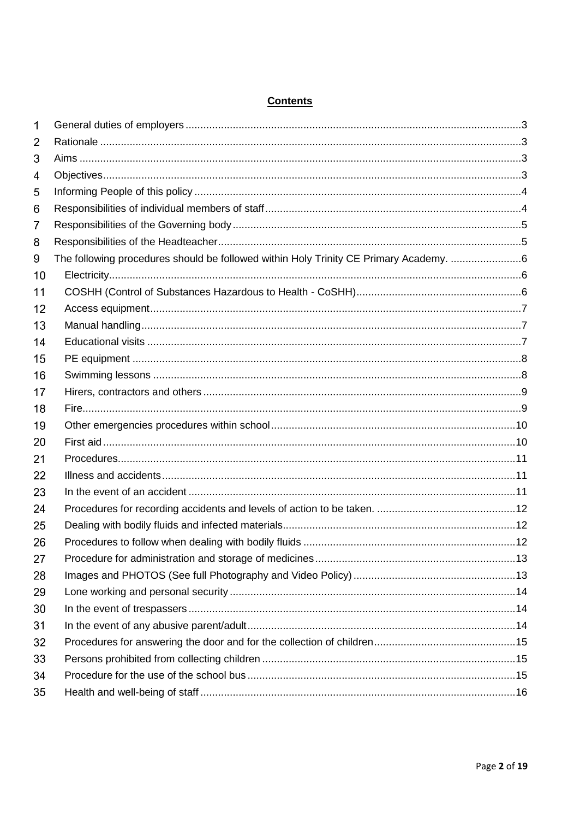| 1  |                                                                                       |  |
|----|---------------------------------------------------------------------------------------|--|
| 2  |                                                                                       |  |
| 3  |                                                                                       |  |
| 4  |                                                                                       |  |
| 5  |                                                                                       |  |
| 6  |                                                                                       |  |
| 7  |                                                                                       |  |
| 8  |                                                                                       |  |
| 9  | The following procedures should be followed within Holy Trinity CE Primary Academy. 6 |  |
| 10 |                                                                                       |  |
| 11 |                                                                                       |  |
| 12 |                                                                                       |  |
| 13 |                                                                                       |  |
| 14 |                                                                                       |  |
| 15 |                                                                                       |  |
| 16 |                                                                                       |  |
| 17 |                                                                                       |  |
| 18 |                                                                                       |  |
| 19 |                                                                                       |  |
| 20 |                                                                                       |  |
| 21 |                                                                                       |  |
| 22 |                                                                                       |  |
| 23 |                                                                                       |  |
| 24 |                                                                                       |  |
| 25 |                                                                                       |  |
| 26 |                                                                                       |  |
| 27 |                                                                                       |  |
| 28 |                                                                                       |  |
| 29 |                                                                                       |  |
| 30 |                                                                                       |  |
| 31 |                                                                                       |  |
| 32 |                                                                                       |  |
| 33 |                                                                                       |  |
| 34 |                                                                                       |  |
| 35 |                                                                                       |  |

# **Contents**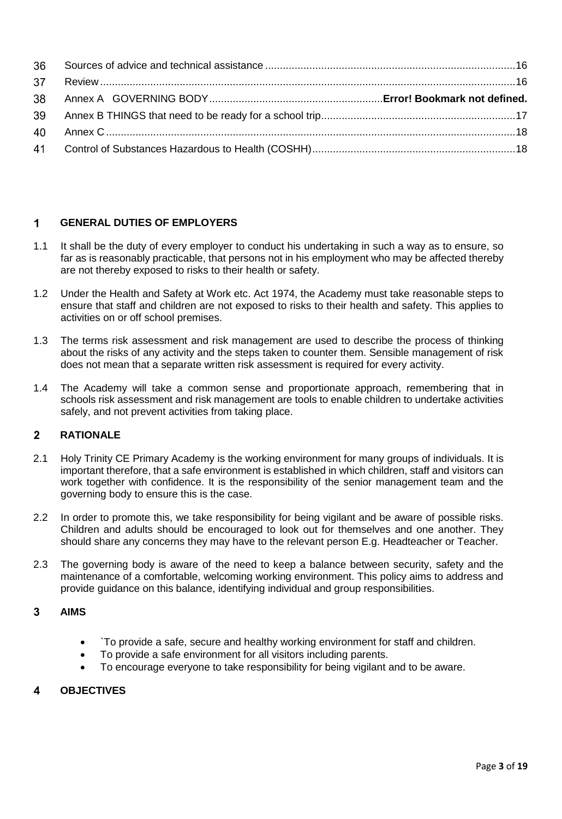#### <span id="page-2-0"></span> $\overline{1}$ **GENERAL DUTIES OF EMPLOYERS**

- 1.1 It shall be the duty of every employer to conduct his undertaking in such a way as to ensure, so far as is reasonably practicable, that persons not in his employment who may be affected thereby are not thereby exposed to risks to their health or safety.
- 1.2 Under the Health and Safety at Work etc. Act 1974, the Academy must take reasonable steps to ensure that staff and children are not exposed to risks to their health and safety. This applies to activities on or off school premises.
- 1.3 The terms risk assessment and risk management are used to describe the process of thinking about the risks of any activity and the steps taken to counter them. Sensible management of risk does not mean that a separate written risk assessment is required for every activity.
- 1.4 The Academy will take a common sense and proportionate approach, remembering that in schools risk assessment and risk management are tools to enable children to undertake activities safely, and not prevent activities from taking place.

#### <span id="page-2-1"></span> $\overline{2}$ **RATIONALE**

- 2.1 Holy Trinity CE Primary Academy is the working environment for many groups of individuals. It is important therefore, that a safe environment is established in which children, staff and visitors can work together with confidence. It is the responsibility of the senior management team and the governing body to ensure this is the case.
- 2.2 In order to promote this, we take responsibility for being vigilant and be aware of possible risks. Children and adults should be encouraged to look out for themselves and one another. They should share any concerns they may have to the relevant person E.g. Headteacher or Teacher.
- 2.3 The governing body is aware of the need to keep a balance between security, safety and the maintenance of a comfortable, welcoming working environment. This policy aims to address and provide guidance on this balance, identifying individual and group responsibilities.

#### <span id="page-2-2"></span>3 **AIMS**

- `To provide a safe, secure and healthy working environment for staff and children.
- To provide a safe environment for all visitors including parents.
- To encourage everyone to take responsibility for being vigilant and to be aware.

#### <span id="page-2-3"></span>**OBJECTIVES**4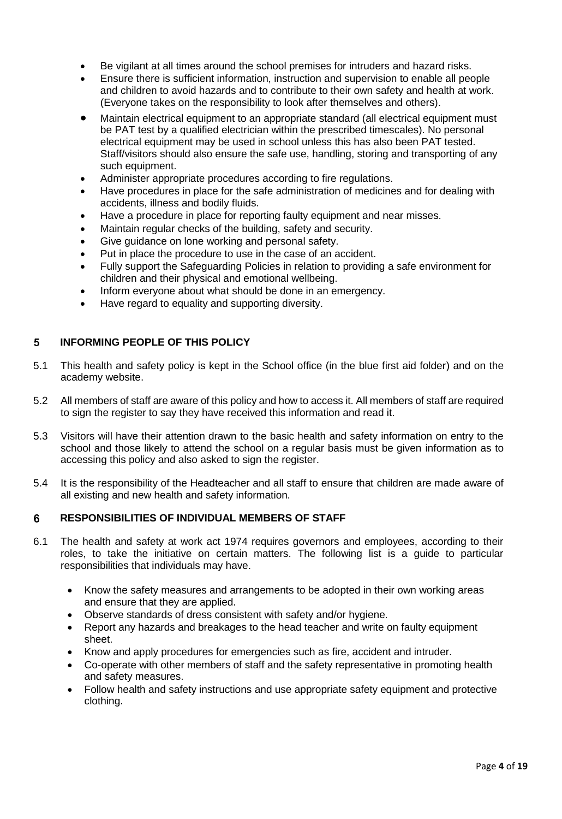- Be vigilant at all times around the school premises for intruders and hazard risks.
- Ensure there is sufficient information, instruction and supervision to enable all people and children to avoid hazards and to contribute to their own safety and health at work. (Everyone takes on the responsibility to look after themselves and others).
- Maintain electrical equipment to an appropriate standard (all electrical equipment must be PAT test by a qualified electrician within the prescribed timescales). No personal electrical equipment may be used in school unless this has also been PAT tested. Staff/visitors should also ensure the safe use, handling, storing and transporting of any such equipment.
- Administer appropriate procedures according to fire regulations.
- Have procedures in place for the safe administration of medicines and for dealing with accidents, illness and bodily fluids.
- Have a procedure in place for reporting faulty equipment and near misses.
- Maintain regular checks of the building, safety and security.
- Give guidance on lone working and personal safety.
- Put in place the procedure to use in the case of an accident.
- Fully support the Safeguarding Policies in relation to providing a safe environment for children and their physical and emotional wellbeing.
- Inform everyone about what should be done in an emergency.
- Have regard to equality and supporting diversity.

#### <span id="page-3-0"></span>**INFORMING PEOPLE OF THIS POLICY**  $5\phantom{.0}$

- 5.1 This health and safety policy is kept in the School office (in the blue first aid folder) and on the academy website.
- 5.2 All members of staff are aware of this policy and how to access it. All members of staff are required to sign the register to say they have received this information and read it.
- 5.3 Visitors will have their attention drawn to the basic health and safety information on entry to the school and those likely to attend the school on a regular basis must be given information as to accessing this policy and also asked to sign the register.
- 5.4 It is the responsibility of the Headteacher and all staff to ensure that children are made aware of all existing and new health and safety information.

#### <span id="page-3-1"></span>6 **RESPONSIBILITIES OF INDIVIDUAL MEMBERS OF STAFF**

- 6.1 The health and safety at work act 1974 requires governors and employees, according to their roles, to take the initiative on certain matters. The following list is a guide to particular responsibilities that individuals may have.
	- Know the safety measures and arrangements to be adopted in their own working areas and ensure that they are applied.
	- Observe standards of dress consistent with safety and/or hygiene.
	- Report any hazards and breakages to the head teacher and write on faulty equipment sheet.
	- Know and apply procedures for emergencies such as fire, accident and intruder.
	- Co-operate with other members of staff and the safety representative in promoting health and safety measures.
	- Follow health and safety instructions and use appropriate safety equipment and protective clothing.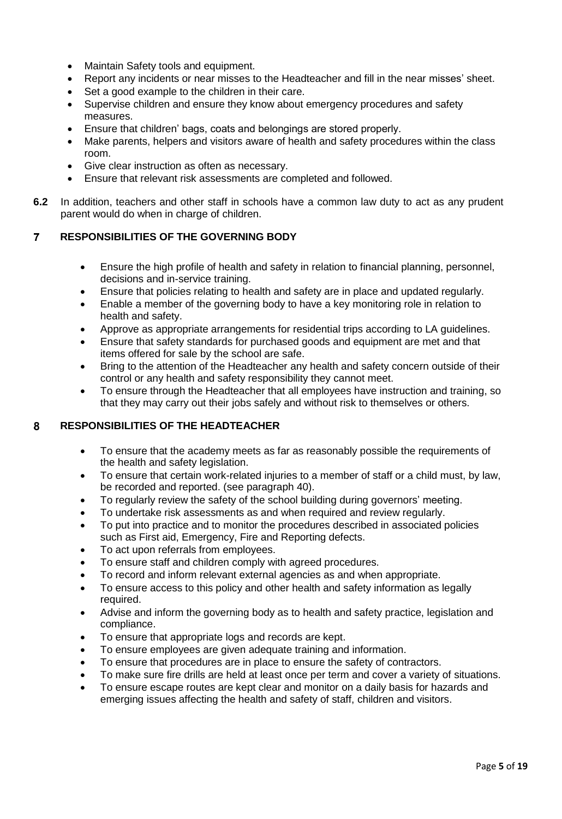- Maintain Safety tools and equipment.
- Report any incidents or near misses to the Headteacher and fill in the near misses' sheet.
- Set a good example to the children in their care.
- Supervise children and ensure they know about emergency procedures and safety measures.
- Ensure that children' bags, coats and belongings are stored properly.
- Make parents, helpers and visitors aware of health and safety procedures within the class room.
- Give clear instruction as often as necessary.
- Ensure that relevant risk assessments are completed and followed.
- **6.2** In addition, teachers and other staff in schools have a common law duty to act as any prudent parent would do when in charge of children.

#### <span id="page-4-0"></span> $\overline{7}$ **RESPONSIBILITIES OF THE GOVERNING BODY**

- Ensure the high profile of health and safety in relation to financial planning, personnel, decisions and in-service training.
- Ensure that policies relating to health and safety are in place and updated regularly.
- Enable a member of the governing body to have a key monitoring role in relation to health and safety.
- Approve as appropriate arrangements for residential trips according to LA guidelines.
- Ensure that safety standards for purchased goods and equipment are met and that items offered for sale by the school are safe.
- Bring to the attention of the Headteacher any health and safety concern outside of their control or any health and safety responsibility they cannot meet.
- To ensure through the Headteacher that all employees have instruction and training, so that they may carry out their jobs safely and without risk to themselves or others.

#### <span id="page-4-1"></span>**RESPONSIBILITIES OF THE HEADTEACHER** 8

- To ensure that the academy meets as far as reasonably possible the requirements of the health and safety legislation.
- To ensure that certain work-related injuries to a member of staff or a child must, by law, be recorded and reported. (see paragraph [40\)](#page-18-0).
- To regularly review the safety of the school building during governors' meeting.
- To undertake risk assessments as and when required and review regularly.
- To put into practice and to monitor the procedures described in associated policies such as First aid, Emergency, Fire and Reporting defects.
- To act upon referrals from employees.
- To ensure staff and children comply with agreed procedures.
- To record and inform relevant external agencies as and when appropriate.
- To ensure access to this policy and other health and safety information as legally required.
- Advise and inform the governing body as to health and safety practice, legislation and compliance.
- To ensure that appropriate logs and records are kept.
- To ensure employees are given adequate training and information.
- To ensure that procedures are in place to ensure the safety of contractors.
- To make sure fire drills are held at least once per term and cover a variety of situations.
- To ensure escape routes are kept clear and monitor on a daily basis for hazards and emerging issues affecting the health and safety of staff, children and visitors.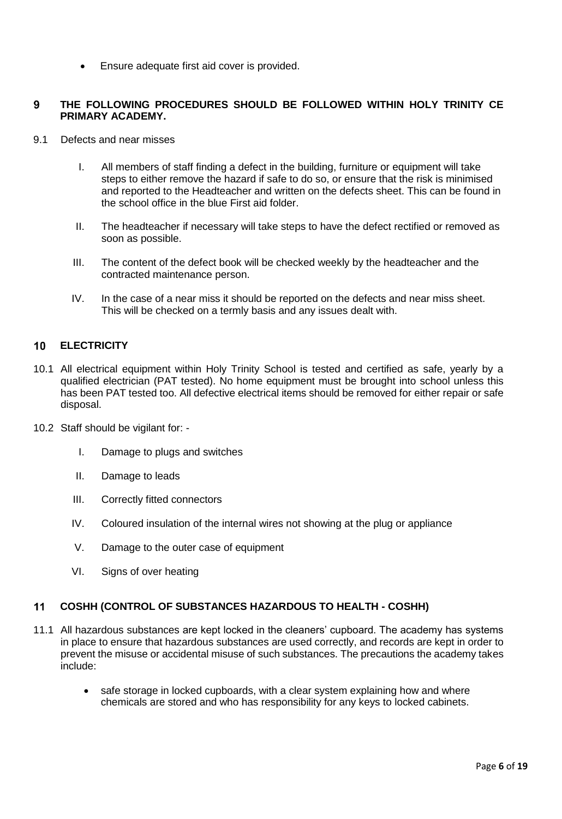Ensure adequate first aid cover is provided.

#### <span id="page-5-0"></span>**THE FOLLOWING PROCEDURES SHOULD BE FOLLOWED WITHIN HOLY TRINITY CE**   $\boldsymbol{9}$ **PRIMARY ACADEMY.**

- 9.1 Defects and near misses
	- I. All members of staff finding a defect in the building, furniture or equipment will take steps to either remove the hazard if safe to do so, or ensure that the risk is minimised and reported to the Headteacher and written on the defects sheet. This can be found in the school office in the blue First aid folder.
	- II. The headteacher if necessary will take steps to have the defect rectified or removed as soon as possible.
	- III. The content of the defect book will be checked weekly by the headteacher and the contracted maintenance person.
	- IV. In the case of a near miss it should be reported on the defects and near miss sheet. This will be checked on a termly basis and any issues dealt with.

#### <span id="page-5-1"></span> $10<sup>°</sup>$ **ELECTRICITY**

- 10.1 All electrical equipment within Holy Trinity School is tested and certified as safe, yearly by a qualified electrician (PAT tested). No home equipment must be brought into school unless this has been PAT tested too. All defective electrical items should be removed for either repair or safe disposal.
- 10.2 Staff should be vigilant for:
	- I. Damage to plugs and switches
	- II. Damage to leads
	- III. Correctly fitted connectors
	- IV. Coloured insulation of the internal wires not showing at the plug or appliance
	- V. Damage to the outer case of equipment
	- VI. Signs of over heating

#### <span id="page-5-2"></span> $11$ **COSHH (CONTROL OF SUBSTANCES HAZARDOUS TO HEALTH - COSHH)**

- 11.1 All hazardous substances are kept locked in the cleaners' cupboard. The academy has systems in place to ensure that hazardous substances are used correctly, and records are kept in order to prevent the misuse or accidental misuse of such substances. The precautions the academy takes include:
	- safe storage in locked cupboards, with a clear system explaining how and where chemicals are stored and who has responsibility for any keys to locked cabinets.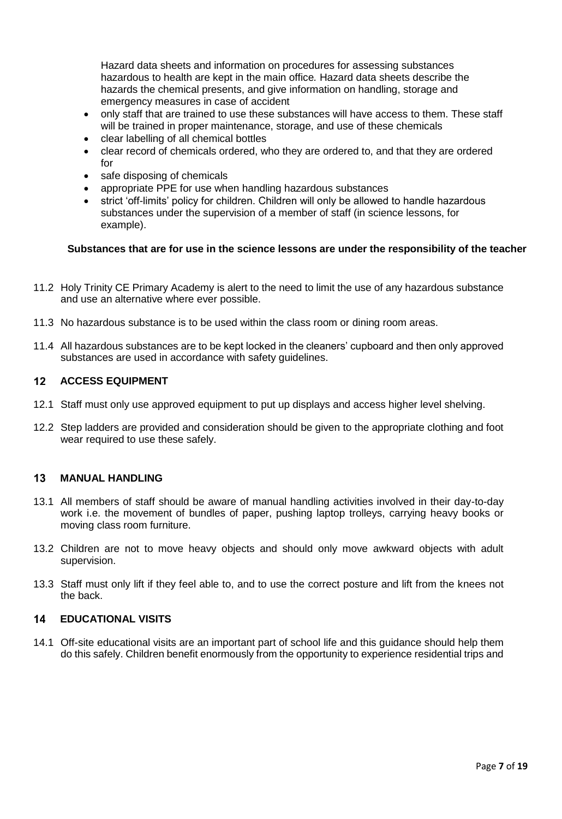Hazard data sheets and information on procedures for assessing substances hazardous to health are kept in the main office*.* Hazard data sheets describe the hazards the chemical presents, and give information on handling, storage and emergency measures in case of accident

- only staff that are trained to use these substances will have access to them. These staff will be trained in proper maintenance, storage, and use of these chemicals
- clear labelling of all chemical bottles
- clear record of chemicals ordered, who they are ordered to, and that they are ordered for
- safe disposing of chemicals
- appropriate PPE for use when handling hazardous substances
- strict 'off-limits' policy for children. Children will only be allowed to handle hazardous substances under the supervision of a member of staff (in science lessons, for example).

### **Substances that are for use in the science lessons are under the responsibility of the teacher**

- 11.2 Holy Trinity CE Primary Academy is alert to the need to limit the use of any hazardous substance and use an alternative where ever possible.
- 11.3 No hazardous substance is to be used within the class room or dining room areas.
- 11.4 All hazardous substances are to be kept locked in the cleaners' cupboard and then only approved substances are used in accordance with safety guidelines.

#### <span id="page-6-0"></span> $12<sup>2</sup>$ **ACCESS EQUIPMENT**

- 12.1 Staff must only use approved equipment to put up displays and access higher level shelving.
- 12.2 Step ladders are provided and consideration should be given to the appropriate clothing and foot wear required to use these safely.

#### <span id="page-6-1"></span> $13$ **MANUAL HANDLING**

- 13.1 All members of staff should be aware of manual handling activities involved in their day-to-day work i.e. the movement of bundles of paper, pushing laptop trolleys, carrying heavy books or moving class room furniture.
- 13.2 Children are not to move heavy objects and should only move awkward objects with adult supervision.
- 13.3 Staff must only lift if they feel able to, and to use the correct posture and lift from the knees not the back.

#### <span id="page-6-2"></span>**EDUCATIONAL VISITS**  $14$

14.1 Off-site educational visits are an important part of school life and this guidance should help them do this safely. Children benefit enormously from the opportunity to experience residential trips and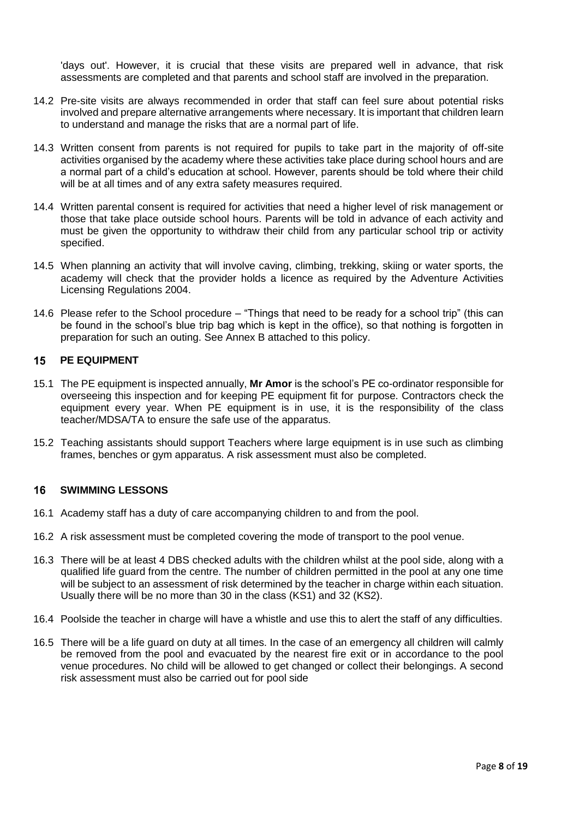'days out'. However, it is crucial that these visits are prepared well in advance, that risk assessments are completed and that parents and school staff are involved in the preparation.

- 14.2 Pre-site visits are always recommended in order that staff can feel sure about potential risks involved and prepare alternative arrangements where necessary. It is important that children learn to understand and manage the risks that are a normal part of life.
- 14.3 Written consent from parents is not required for pupils to take part in the majority of off-site activities organised by the academy where these activities take place during school hours and are a normal part of a child's education at school. However, parents should be told where their child will be at all times and of any extra safety measures required.
- 14.4 Written parental consent is required for activities that need a higher level of risk management or those that take place outside school hours. Parents will be told in advance of each activity and must be given the opportunity to withdraw their child from any particular school trip or activity specified.
- 14.5 When planning an activity that will involve caving, climbing, trekking, skiing or water sports, the academy will check that the provider holds a licence as required by the Adventure Activities Licensing Regulations 2004.
- 14.6 Please refer to the School procedure "Things that need to be ready for a school trip" (this can be found in the school's blue trip bag which is kept in the office), so that nothing is forgotten in preparation for such an outing. See Annex B attached to this policy.

#### <span id="page-7-0"></span> $15$ **PE EQUIPMENT**

- 15.1 The PE equipment is inspected annually, **Mr Amor** is the school's PE co-ordinator responsible for overseeing this inspection and for keeping PE equipment fit for purpose. Contractors check the equipment every year. When PE equipment is in use, it is the responsibility of the class teacher/MDSA/TA to ensure the safe use of the apparatus.
- 15.2 Teaching assistants should support Teachers where large equipment is in use such as climbing frames, benches or gym apparatus. A risk assessment must also be completed.

#### <span id="page-7-1"></span> $16$ **SWIMMING LESSONS**

- 16.1 Academy staff has a duty of care accompanying children to and from the pool.
- 16.2 A risk assessment must be completed covering the mode of transport to the pool venue.
- 16.3 There will be at least 4 DBS checked adults with the children whilst at the pool side, along with a qualified life guard from the centre. The number of children permitted in the pool at any one time will be subject to an assessment of risk determined by the teacher in charge within each situation. Usually there will be no more than 30 in the class (KS1) and 32 (KS2).
- 16.4 Poolside the teacher in charge will have a whistle and use this to alert the staff of any difficulties.
- 16.5 There will be a life guard on duty at all times. In the case of an emergency all children will calmly be removed from the pool and evacuated by the nearest fire exit or in accordance to the pool venue procedures. No child will be allowed to get changed or collect their belongings. A second risk assessment must also be carried out for pool side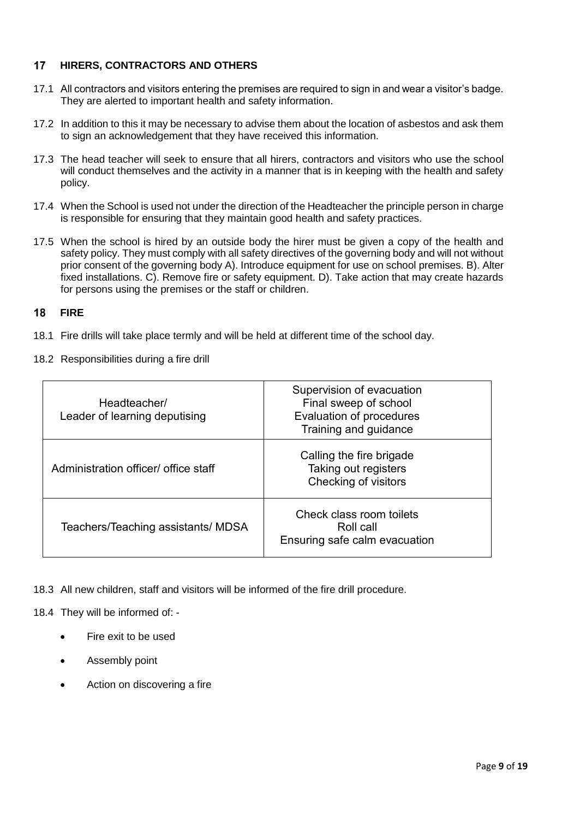#### <span id="page-8-0"></span> $17$ **HIRERS, CONTRACTORS AND OTHERS**

- 17.1 All contractors and visitors entering the premises are required to sign in and wear a visitor's badge. They are alerted to important health and safety information.
- 17.2 In addition to this it may be necessary to advise them about the location of asbestos and ask them to sign an acknowledgement that they have received this information.
- 17.3 The head teacher will seek to ensure that all hirers, contractors and visitors who use the school will conduct themselves and the activity in a manner that is in keeping with the health and safety policy.
- 17.4 When the School is used not under the direction of the Headteacher the principle person in charge is responsible for ensuring that they maintain good health and safety practices.
- 17.5 When the school is hired by an outside body the hirer must be given a copy of the health and safety policy. They must comply with all safety directives of the governing body and will not without prior consent of the governing body A). Introduce equipment for use on school premises. B). Alter fixed installations. C). Remove fire or safety equipment. D). Take action that may create hazards for persons using the premises or the staff or children.

#### <span id="page-8-1"></span>18 **FIRE**

- 18.1 Fire drills will take place termly and will be held at different time of the school day.
- 18.2 Responsibilities during a fire drill

| Headteacher/<br>Leader of learning deputising | Supervision of evacuation<br>Final sweep of school<br>Evaluation of procedures<br>Training and guidance |  |
|-----------------------------------------------|---------------------------------------------------------------------------------------------------------|--|
| Administration officer/ office staff          | Calling the fire brigade<br>Taking out registers<br>Checking of visitors                                |  |
| Teachers/Teaching assistants/ MDSA            | Check class room toilets<br>Roll call<br>Ensuring safe calm evacuation                                  |  |

18.3 All new children, staff and visitors will be informed of the fire drill procedure.

18.4 They will be informed of: -

- Fire exit to be used
- Assembly point
- Action on discovering a fire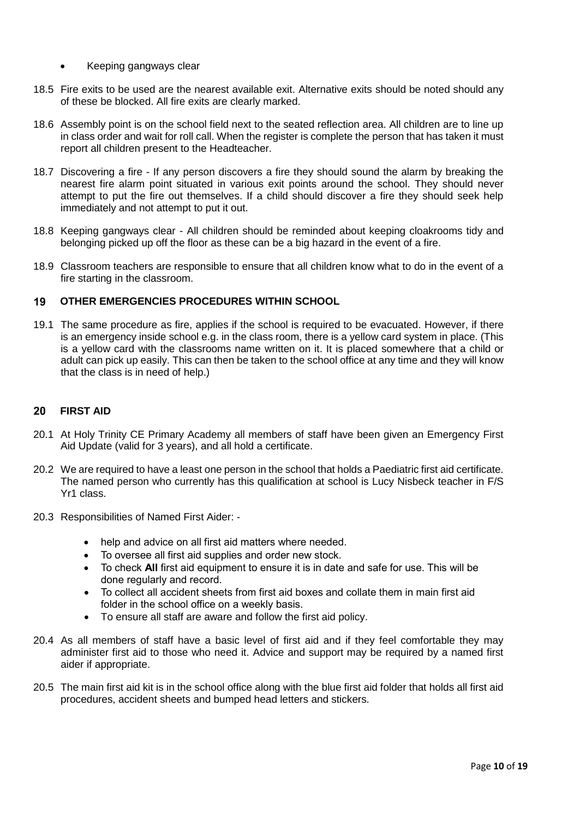- Keeping gangways clear
- 18.5 Fire exits to be used are the nearest available exit. Alternative exits should be noted should any of these be blocked. All fire exits are clearly marked.
- 18.6 Assembly point is on the school field next to the seated reflection area. All children are to line up in class order and wait for roll call. When the register is complete the person that has taken it must report all children present to the Headteacher.
- 18.7 Discovering a fire If any person discovers a fire they should sound the alarm by breaking the nearest fire alarm point situated in various exit points around the school. They should never attempt to put the fire out themselves. If a child should discover a fire they should seek help immediately and not attempt to put it out.
- 18.8 Keeping gangways clear All children should be reminded about keeping cloakrooms tidy and belonging picked up off the floor as these can be a big hazard in the event of a fire.
- 18.9 Classroom teachers are responsible to ensure that all children know what to do in the event of a fire starting in the classroom.

#### <span id="page-9-0"></span>**OTHER EMERGENCIES PROCEDURES WITHIN SCHOOL** 19

19.1 The same procedure as fire, applies if the school is required to be evacuated. However, if there is an emergency inside school e.g. in the class room, there is a yellow card system in place. (This is a yellow card with the classrooms name written on it. It is placed somewhere that a child or adult can pick up easily. This can then be taken to the school office at any time and they will know that the class is in need of help.)

#### <span id="page-9-1"></span>20 **FIRST AID**

- 20.1 At Holy Trinity CE Primary Academy all members of staff have been given an Emergency First Aid Update (valid for 3 years), and all hold a certificate.
- 20.2 We are required to have a least one person in the school that holds a Paediatric first aid certificate. The named person who currently has this qualification at school is Lucy Nisbeck teacher in F/S Yr1 class.
- 20.3 Responsibilities of Named First Aider:
	- help and advice on all first aid matters where needed.
	- To oversee all first aid supplies and order new stock.
	- To check **All** first aid equipment to ensure it is in date and safe for use. This will be done regularly and record.
	- To collect all accident sheets from first aid boxes and collate them in main first aid folder in the school office on a weekly basis.
	- To ensure all staff are aware and follow the first aid policy.
- 20.4 As all members of staff have a basic level of first aid and if they feel comfortable they may administer first aid to those who need it. Advice and support may be required by a named first aider if appropriate.
- 20.5 The main first aid kit is in the school office along with the blue first aid folder that holds all first aid procedures, accident sheets and bumped head letters and stickers.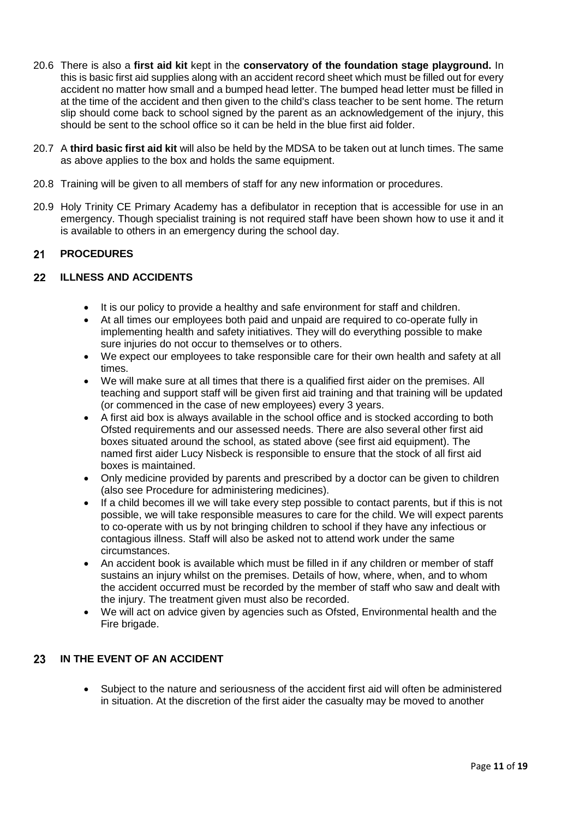- 20.6 There is also a **first aid kit** kept in the **conservatory of the foundation stage playground.** In this is basic first aid supplies along with an accident record sheet which must be filled out for every accident no matter how small and a bumped head letter. The bumped head letter must be filled in at the time of the accident and then given to the child's class teacher to be sent home. The return slip should come back to school signed by the parent as an acknowledgement of the injury, this should be sent to the school office so it can be held in the blue first aid folder.
- 20.7 A **third basic first aid kit** will also be held by the MDSA to be taken out at lunch times. The same as above applies to the box and holds the same equipment.
- 20.8 Training will be given to all members of staff for any new information or procedures.
- 20.9 Holy Trinity CE Primary Academy has a defibulator in reception that is accessible for use in an emergency. Though specialist training is not required staff have been shown how to use it and it is available to others in an emergency during the school day.

#### <span id="page-10-0"></span> $21$ **PROCEDURES**

#### <span id="page-10-1"></span> $22<sub>2</sub>$ **ILLNESS AND ACCIDENTS**

- It is our policy to provide a healthy and safe environment for staff and children.
- At all times our employees both paid and unpaid are required to co-operate fully in implementing health and safety initiatives. They will do everything possible to make sure injuries do not occur to themselves or to others.
- We expect our employees to take responsible care for their own health and safety at all times.
- We will make sure at all times that there is a qualified first aider on the premises. All teaching and support staff will be given first aid training and that training will be updated (or commenced in the case of new employees) every 3 years.
- A first aid box is always available in the school office and is stocked according to both Ofsted requirements and our assessed needs. There are also several other first aid boxes situated around the school, as stated above (see first aid equipment). The named first aider Lucy Nisbeck is responsible to ensure that the stock of all first aid boxes is maintained.
- Only medicine provided by parents and prescribed by a doctor can be given to children (also see Procedure for administering medicines).
- If a child becomes ill we will take every step possible to contact parents, but if this is not possible, we will take responsible measures to care for the child. We will expect parents to co-operate with us by not bringing children to school if they have any infectious or contagious illness. Staff will also be asked not to attend work under the same circumstances.
- An accident book is available which must be filled in if any children or member of staff sustains an injury whilst on the premises. Details of how, where, when, and to whom the accident occurred must be recorded by the member of staff who saw and dealt with the injury. The treatment given must also be recorded.
- We will act on advice given by agencies such as Ofsted, Environmental health and the Fire brigade.

#### <span id="page-10-2"></span>23 **IN THE EVENT OF AN ACCIDENT**

 Subject to the nature and seriousness of the accident first aid will often be administered in situation. At the discretion of the first aider the casualty may be moved to another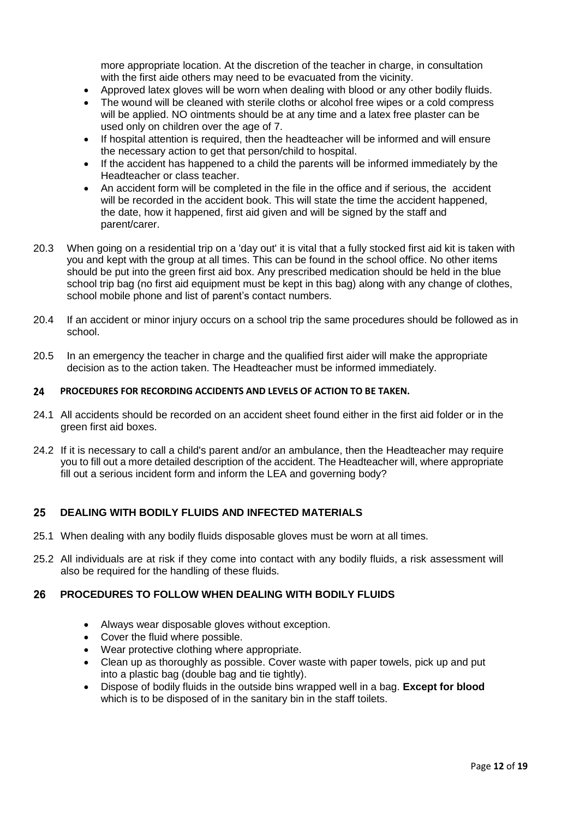more appropriate location. At the discretion of the teacher in charge, in consultation with the first aide others may need to be evacuated from the vicinity.

- Approved latex gloves will be worn when dealing with blood or any other bodily fluids.
- The wound will be cleaned with sterile cloths or alcohol free wipes or a cold compress will be applied. NO ointments should be at any time and a latex free plaster can be used only on children over the age of 7.
- If hospital attention is required, then the headteacher will be informed and will ensure the necessary action to get that person/child to hospital.
- If the accident has happened to a child the parents will be informed immediately by the Headteacher or class teacher.
- <span id="page-11-0"></span> An accident form will be completed in the file in the office and if serious, the accident will be recorded in the accident book. This will state the time the accident happened, the date, how it happened, first aid given and will be signed by the staff and parent/carer.
- 20.3 When going on a residential trip on a 'day out' it is vital that a fully stocked first aid kit is taken with you and kept with the group at all times. This can be found in the school office. No other items should be put into the green first aid box. Any prescribed medication should be held in the blue school trip bag (no first aid equipment must be kept in this bag) along with any change of clothes, school mobile phone and list of parent's contact numbers.
- 20.4 If an accident or minor injury occurs on a school trip the same procedures should be followed as in school.
- 20.5 In an emergency the teacher in charge and the qualified first aider will make the appropriate decision as to the action taken. The Headteacher must be informed immediately.

#### **PROCEDURES FOR RECORDING ACCIDENTS AND LEVELS OF ACTION TO BE TAKEN.** 24

- 24.1 All accidents should be recorded on an accident sheet found either in the first aid folder or in the green first aid boxes.
- 24.2 If it is necessary to call a child's parent and/or an ambulance, then the Headteacher may require you to fill out a more detailed description of the accident. The Headteacher will, where appropriate fill out a serious incident form and inform the LEA and governing body?

#### <span id="page-11-1"></span>25 **DEALING WITH BODILY FLUIDS AND INFECTED MATERIALS**

- 25.1 When dealing with any bodily fluids disposable gloves must be worn at all times.
- 25.2 All individuals are at risk if they come into contact with any bodily fluids, a risk assessment will also be required for the handling of these fluids.

#### <span id="page-11-2"></span>26 **PROCEDURES TO FOLLOW WHEN DEALING WITH BODILY FLUIDS**

- Always wear disposable gloves without exception.
- Cover the fluid where possible.
- Wear protective clothing where appropriate.
- Clean up as thoroughly as possible. Cover waste with paper towels, pick up and put into a plastic bag (double bag and tie tightly).
- Dispose of bodily fluids in the outside bins wrapped well in a bag. **Except for blood** which is to be disposed of in the sanitary bin in the staff toilets.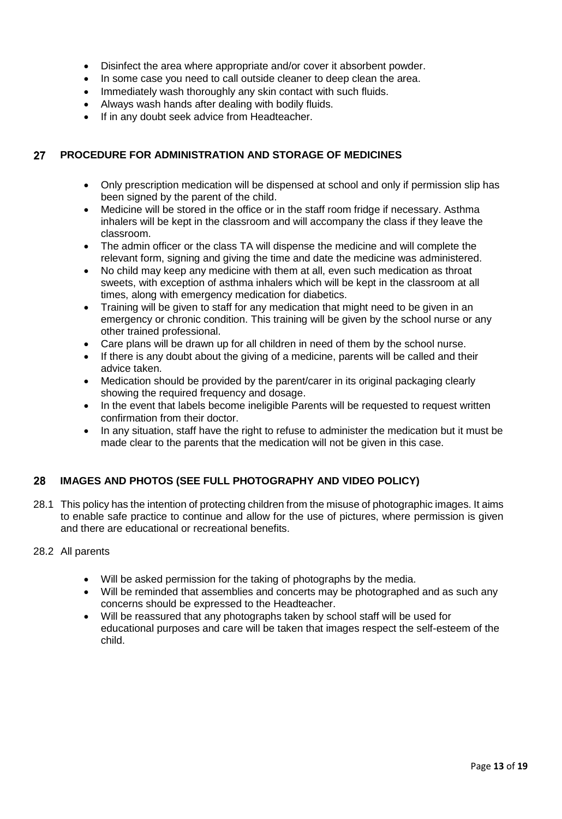- Disinfect the area where appropriate and/or cover it absorbent powder.
- In some case you need to call outside cleaner to deep clean the area.
- Immediately wash thoroughly any skin contact with such fluids.
- Always wash hands after dealing with bodily fluids.
- If in any doubt seek advice from Headteacher.

#### <span id="page-12-0"></span>27 **PROCEDURE FOR ADMINISTRATION AND STORAGE OF MEDICINES**

- Only prescription medication will be dispensed at school and only if permission slip has been signed by the parent of the child.
- Medicine will be stored in the office or in the staff room fridge if necessary. Asthma inhalers will be kept in the classroom and will accompany the class if they leave the classroom.
- The admin officer or the class TA will dispense the medicine and will complete the relevant form, signing and giving the time and date the medicine was administered.
- No child may keep any medicine with them at all, even such medication as throat sweets, with exception of asthma inhalers which will be kept in the classroom at all times, along with emergency medication for diabetics.
- Training will be given to staff for any medication that might need to be given in an emergency or chronic condition. This training will be given by the school nurse or any other trained professional.
- Care plans will be drawn up for all children in need of them by the school nurse.
- If there is any doubt about the giving of a medicine, parents will be called and their advice taken.
- Medication should be provided by the parent/carer in its original packaging clearly showing the required frequency and dosage.
- In the event that labels become ineligible Parents will be requested to request written confirmation from their doctor.
- In any situation, staff have the right to refuse to administer the medication but it must be made clear to the parents that the medication will not be given in this case.

#### <span id="page-12-1"></span>**IMAGES AND PHOTOS (SEE FULL PHOTOGRAPHY AND VIDEO POLICY)** 28

28.1 This policy has the intention of protecting children from the misuse of photographic images. It aims to enable safe practice to continue and allow for the use of pictures, where permission is given and there are educational or recreational benefits.

### 28.2 All parents

- Will be asked permission for the taking of photographs by the media.
- Will be reminded that assemblies and concerts may be photographed and as such any concerns should be expressed to the Headteacher.
- Will be reassured that any photographs taken by school staff will be used for educational purposes and care will be taken that images respect the self-esteem of the child.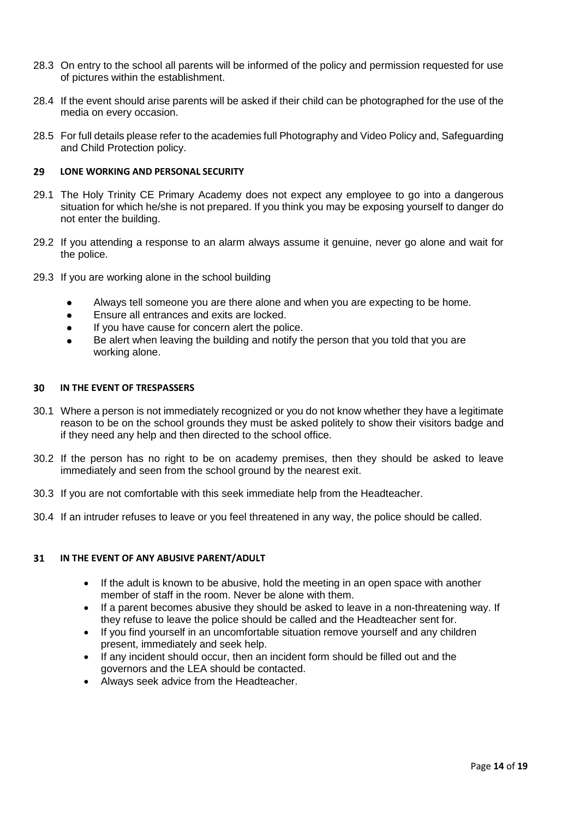- 28.3 On entry to the school all parents will be informed of the policy and permission requested for use of pictures within the establishment.
- 28.4 If the event should arise parents will be asked if their child can be photographed for the use of the media on every occasion.
- 28.5 For full details please refer to the academies full Photography and Video Policy and, Safeguarding and Child Protection policy.

#### <span id="page-13-0"></span>29 **LONE WORKING AND PERSONAL SECURITY**

- 29.1 The Holy Trinity CE Primary Academy does not expect any employee to go into a dangerous situation for which he/she is not prepared. If you think you may be exposing yourself to danger do not enter the building.
- 29.2 If you attending a response to an alarm always assume it genuine, never go alone and wait for the police.
- 29.3 If you are working alone in the school building
	- Always tell someone you are there alone and when you are expecting to be home.  $\bullet$
	- Ensure all entrances and exits are locked.  $\bullet$
	- If you have cause for concern alert the police.  $\bullet$
	- Be alert when leaving the building and notify the person that you told that you are  $\bullet$ working alone.

#### <span id="page-13-1"></span>**IN THE EVENT OF TRESPASSERS** 30

- 30.1 Where a person is not immediately recognized or you do not know whether they have a legitimate reason to be on the school grounds they must be asked politely to show their visitors badge and if they need any help and then directed to the school office.
- 30.2 If the person has no right to be on academy premises, then they should be asked to leave immediately and seen from the school ground by the nearest exit.
- 30.3 If you are not comfortable with this seek immediate help from the Headteacher.
- 30.4 If an intruder refuses to leave or you feel threatened in any way, the police should be called.

#### <span id="page-13-2"></span>**IN THE EVENT OF ANY ABUSIVE PARENT/ADULT** 31

- If the adult is known to be abusive, hold the meeting in an open space with another member of staff in the room. Never be alone with them.
- If a parent becomes abusive they should be asked to leave in a non-threatening way. If they refuse to leave the police should be called and the Headteacher sent for.
- If you find yourself in an uncomfortable situation remove yourself and any children present, immediately and seek help.
- If any incident should occur, then an incident form should be filled out and the governors and the LEA should be contacted.
- Always seek advice from the Headteacher.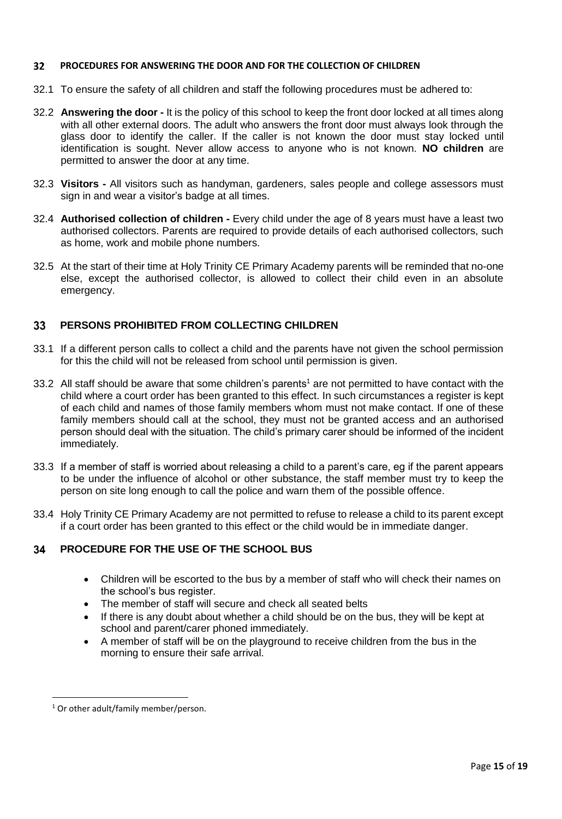#### <span id="page-14-0"></span> $32<sub>2</sub>$ **PROCEDURES FOR ANSWERING THE DOOR AND FOR THE COLLECTION OF CHILDREN**

- 32.1 To ensure the safety of all children and staff the following procedures must be adhered to:
- 32.2 **Answering the door -** It is the policy of this school to keep the front door locked at all times along with all other external doors. The adult who answers the front door must always look through the glass door to identify the caller. If the caller is not known the door must stay locked until identification is sought. Never allow access to anyone who is not known. **NO children** are permitted to answer the door at any time.
- 32.3 **Visitors -** All visitors such as handyman, gardeners, sales people and college assessors must sign in and wear a visitor's badge at all times.
- 32.4 **Authorised collection of children -** Every child under the age of 8 years must have a least two authorised collectors. Parents are required to provide details of each authorised collectors, such as home, work and mobile phone numbers.
- 32.5 At the start of their time at Holy Trinity CE Primary Academy parents will be reminded that no-one else, except the authorised collector, is allowed to collect their child even in an absolute emergency.

#### <span id="page-14-1"></span>**PERSONS PROHIBITED FROM COLLECTING CHILDREN** 33

- 33.1 If a different person calls to collect a child and the parents have not given the school permission for this the child will not be released from school until permission is given.
- 33.2 All staff should be aware that some children's parents<sup>1</sup> are not permitted to have contact with the child where a court order has been granted to this effect. In such circumstances a register is kept of each child and names of those family members whom must not make contact. If one of these family members should call at the school, they must not be granted access and an authorised person should deal with the situation. The child's primary carer should be informed of the incident immediately.
- 33.3 If a member of staff is worried about releasing a child to a parent's care, eg if the parent appears to be under the influence of alcohol or other substance, the staff member must try to keep the person on site long enough to call the police and warn them of the possible offence.
- 33.4 Holy Trinity CE Primary Academy are not permitted to refuse to release a child to its parent except if a court order has been granted to this effect or the child would be in immediate danger.

#### <span id="page-14-2"></span>34 **PROCEDURE FOR THE USE OF THE SCHOOL BUS**

- Children will be escorted to the bus by a member of staff who will check their names on the school's bus register.
- The member of staff will secure and check all seated belts
- If there is any doubt about whether a child should be on the bus, they will be kept at school and parent/carer phoned immediately.
- A member of staff will be on the playground to receive children from the bus in the morning to ensure their safe arrival.

l

 $1$  Or other adult/family member/person.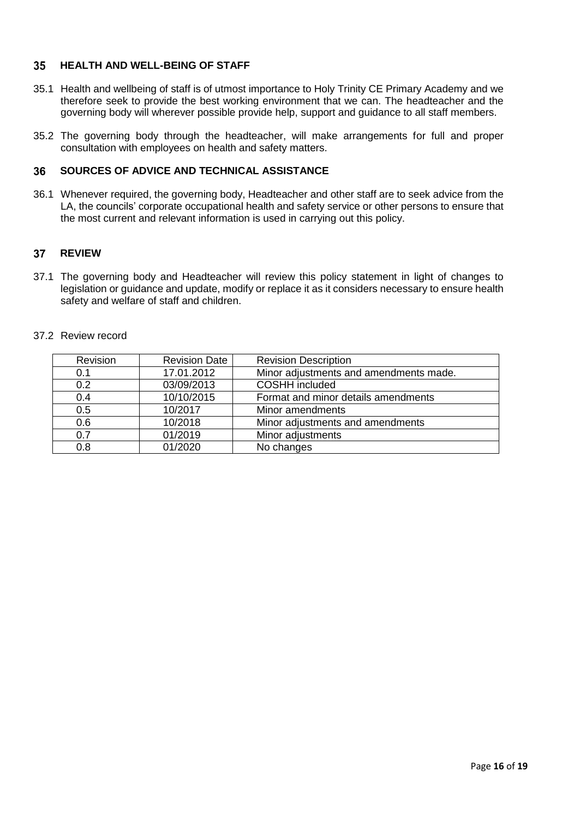#### <span id="page-15-0"></span>35 **HEALTH AND WELL-BEING OF STAFF**

- 35.1 Health and wellbeing of staff is of utmost importance to Holy Trinity CE Primary Academy and we therefore seek to provide the best working environment that we can. The headteacher and the governing body will wherever possible provide help, support and guidance to all staff members.
- 35.2 The governing body through the headteacher, will make arrangements for full and proper consultation with employees on health and safety matters.

#### <span id="page-15-1"></span>**SOURCES OF ADVICE AND TECHNICAL ASSISTANCE** 36

36.1 Whenever required, the governing body, Headteacher and other staff are to seek advice from the LA, the councils' corporate occupational health and safety service or other persons to ensure that the most current and relevant information is used in carrying out this policy.

#### <span id="page-15-2"></span>37 **REVIEW**

37.1 The governing body and Headteacher will review this policy statement in light of changes to legislation or guidance and update, modify or replace it as it considers necessary to ensure health safety and welfare of staff and children.

### 37.2 Review record

| Revision | <b>Revision Date</b> | <b>Revision Description</b>            |
|----------|----------------------|----------------------------------------|
| 0.1      | 17.01.2012           | Minor adjustments and amendments made. |
| 0.2      | 03/09/2013           | <b>COSHH</b> included                  |
| 0.4      | 10/10/2015           | Format and minor details amendments    |
| 0.5      | 10/2017              | Minor amendments                       |
| 0.6      | 10/2018              | Minor adjustments and amendments       |
| 0.7      | 01/2019              | Minor adjustments                      |
| 0.8      | 01/2020              | No changes                             |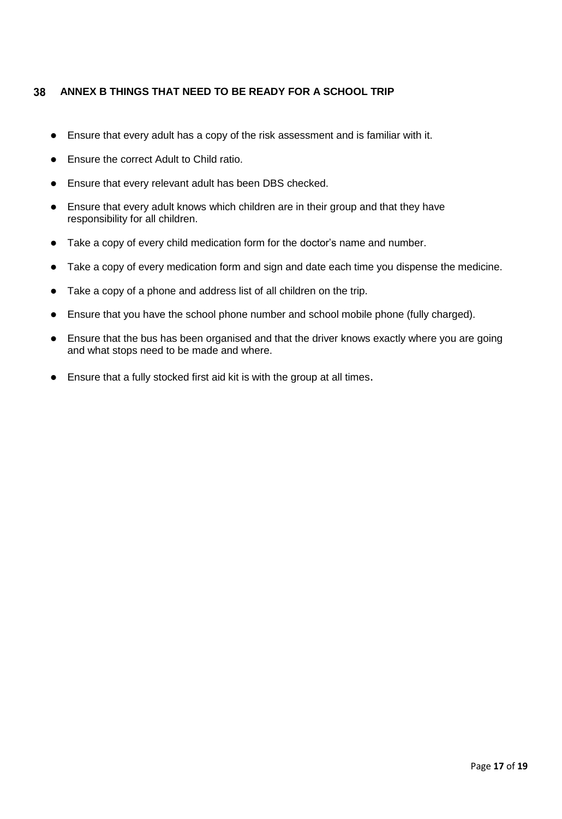#### <span id="page-16-0"></span>38 **ANNEX B THINGS THAT NEED TO BE READY FOR A SCHOOL TRIP**

- Ensure that every adult has a copy of the risk assessment and is familiar with it.
- **•** Ensure the correct Adult to Child ratio.
- Ensure that every relevant adult has been DBS checked.
- Ensure that every adult knows which children are in their group and that they have responsibility for all children.
- Take a copy of every child medication form for the doctor's name and number.
- Take a copy of every medication form and sign and date each time you dispense the medicine.
- Take a copy of a phone and address list of all children on the trip.
- Ensure that you have the school phone number and school mobile phone (fully charged).
- Ensure that the bus has been organised and that the driver knows exactly where you are going and what stops need to be made and where.
- Ensure that a fully stocked first aid kit is with the group at all times.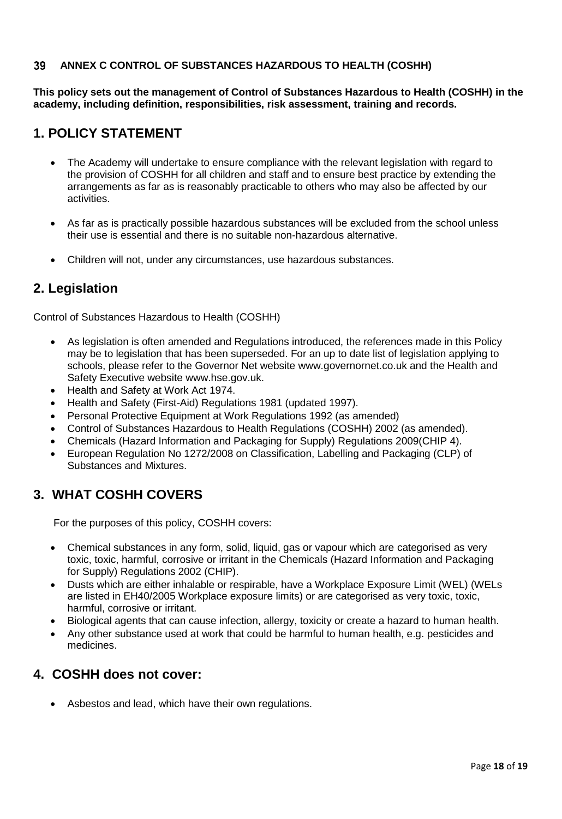#### <span id="page-17-1"></span><span id="page-17-0"></span>39 **ANNEX C CONTROL OF SUBSTANCES HAZARDOUS TO HEALTH (COSHH)**

**This policy sets out the management of Control of Substances Hazardous to Health (COSHH) in the academy, including definition, responsibilities, risk assessment, training and records.**

## **1. POLICY STATEMENT**

- The Academy will undertake to ensure compliance with the relevant legislation with regard to the provision of COSHH for all children and staff and to ensure best practice by extending the arrangements as far as is reasonably practicable to others who may also be affected by our activities.
- As far as is practically possible hazardous substances will be excluded from the school unless their use is essential and there is no suitable non-hazardous alternative.
- Children will not, under any circumstances, use hazardous substances.

### **2. Legislation**

Control of Substances Hazardous to Health (COSHH)

- As legislation is often amended and Regulations introduced, the references made in this Policy may be to legislation that has been superseded. For an up to date list of legislation applying to schools, please refer to the Governor Net website www.governornet.co.uk and the Health and Safety Executive website www.hse.gov.uk.
- Health and Safety at Work Act 1974.
- Health and Safety (First-Aid) Regulations 1981 (updated 1997).
- Personal Protective Equipment at Work Regulations 1992 (as amended)
- Control of Substances Hazardous to Health Regulations (COSHH) 2002 (as amended).
- Chemicals (Hazard Information and Packaging for Supply) Regulations 2009(CHIP 4).
- European Regulation No 1272/2008 on Classification, Labelling and Packaging (CLP) of Substances and Mixtures.

# **3. WHAT COSHH COVERS**

For the purposes of this policy, COSHH covers:

- Chemical substances in any form, solid, liquid, gas or vapour which are categorised as very toxic, toxic, harmful, corrosive or irritant in the Chemicals (Hazard Information and Packaging for Supply) Regulations 2002 (CHIP).
- Dusts which are either inhalable or respirable, have a Workplace Exposure Limit (WEL) (WELs are listed in EH40/2005 Workplace exposure limits) or are categorised as very toxic, toxic, harmful, corrosive or irritant.
- Biological agents that can cause infection, allergy, toxicity or create a hazard to human health.
- Any other substance used at work that could be harmful to human health, e.g. pesticides and medicines.

### **4. COSHH does not cover:**

Asbestos and lead, which have their own regulations.